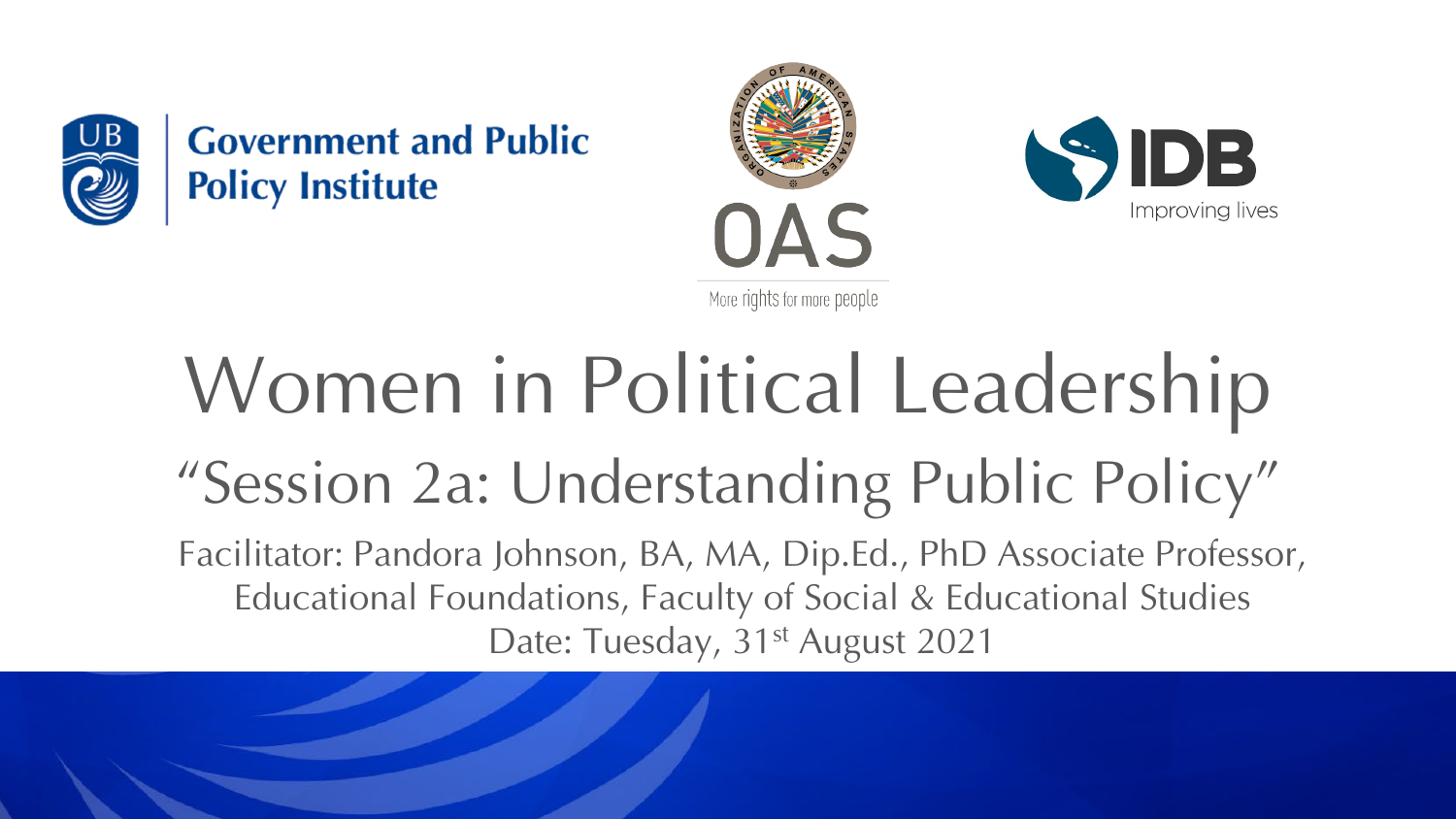

**Government and Public Policy Institute** 





Women in Political Leadership

"Session 2a: Understanding Public Policy"

Facilitator: Pandora Johnson, BA, MA, Dip.Ed., PhD Associate Professor, Educational Foundations, Faculty of Social & Educational Studies Date: Tuesday, 31<sup>st</sup> August 2021

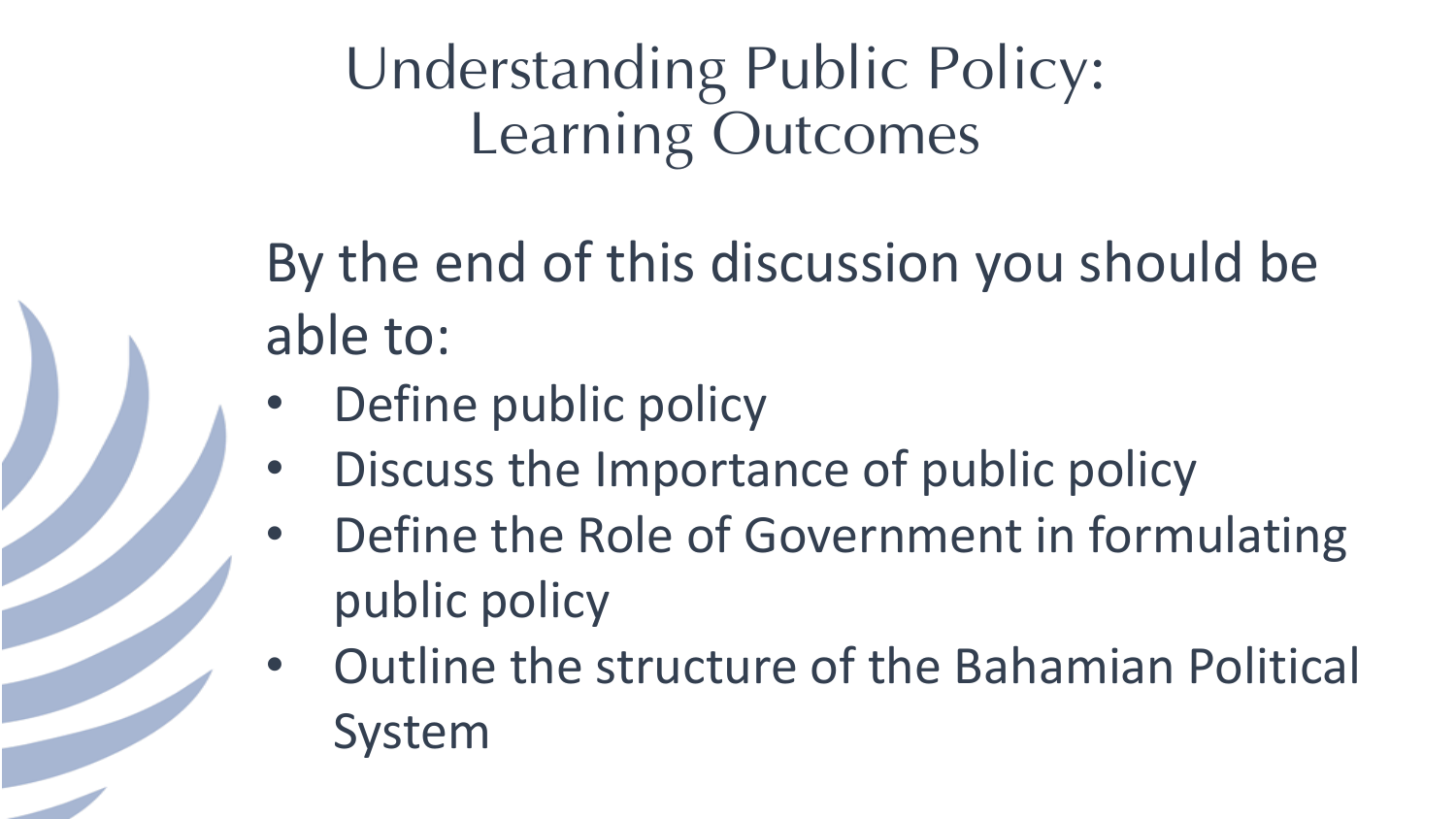Understanding Public Policy: Learning Outcomes

By the end of this discussion you should be able to:

- Define public policy
- Discuss the Importance of public policy
- Define the Role of Government in formulating public policy
- Outline the structure of the Bahamian Political System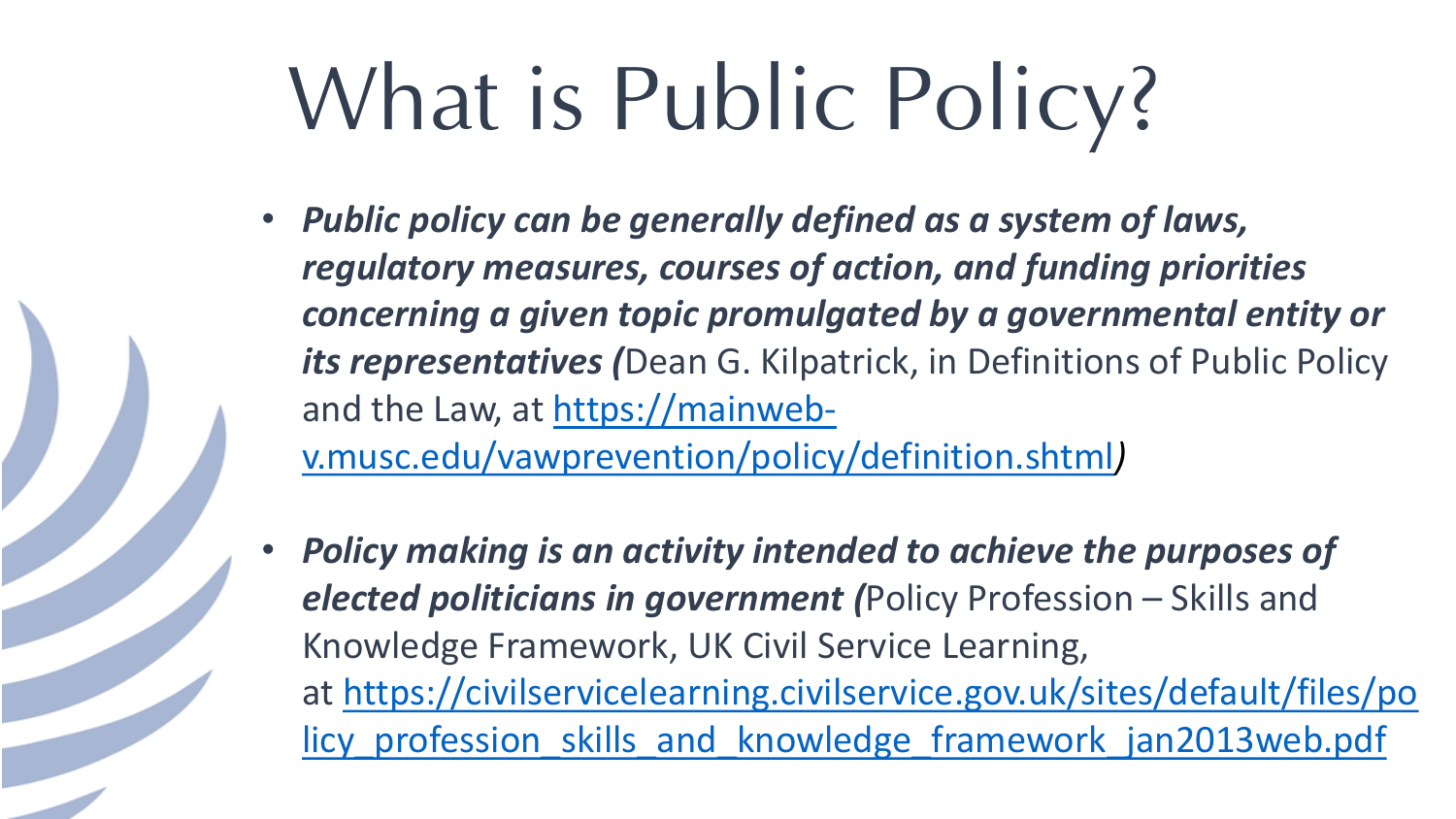### What is Public Policy?

- *Public policy can be generally defined as a system of laws, regulatory measures, courses of action, and funding priorities concerning a given topic promulgated by a governmental entity or its representatives (*Dean G. Kilpatrick, in Definitions of Public Policy and the Law, at https://mainweb[v.musc.edu/vawprevention/policy/definition.shtml](https://mainweb-v.musc.edu/vawprevention/policy/definition.shtml)*)*
- *Policy making is an activity intended to achieve the purposes of elected politicians in government (*Policy Profession – Skills and Knowledge Framework, UK Civil Service Learning, at [https://civilservicelearning.civilservice.gov.uk/sites/default/files/po](https://civilservicelearning.civilservice.gov.uk/sites/default/files/policy_profession_skills_and_knowledge_framework_jan2013web.pdf) licy profession skills and knowledge framework jan2013web.pdf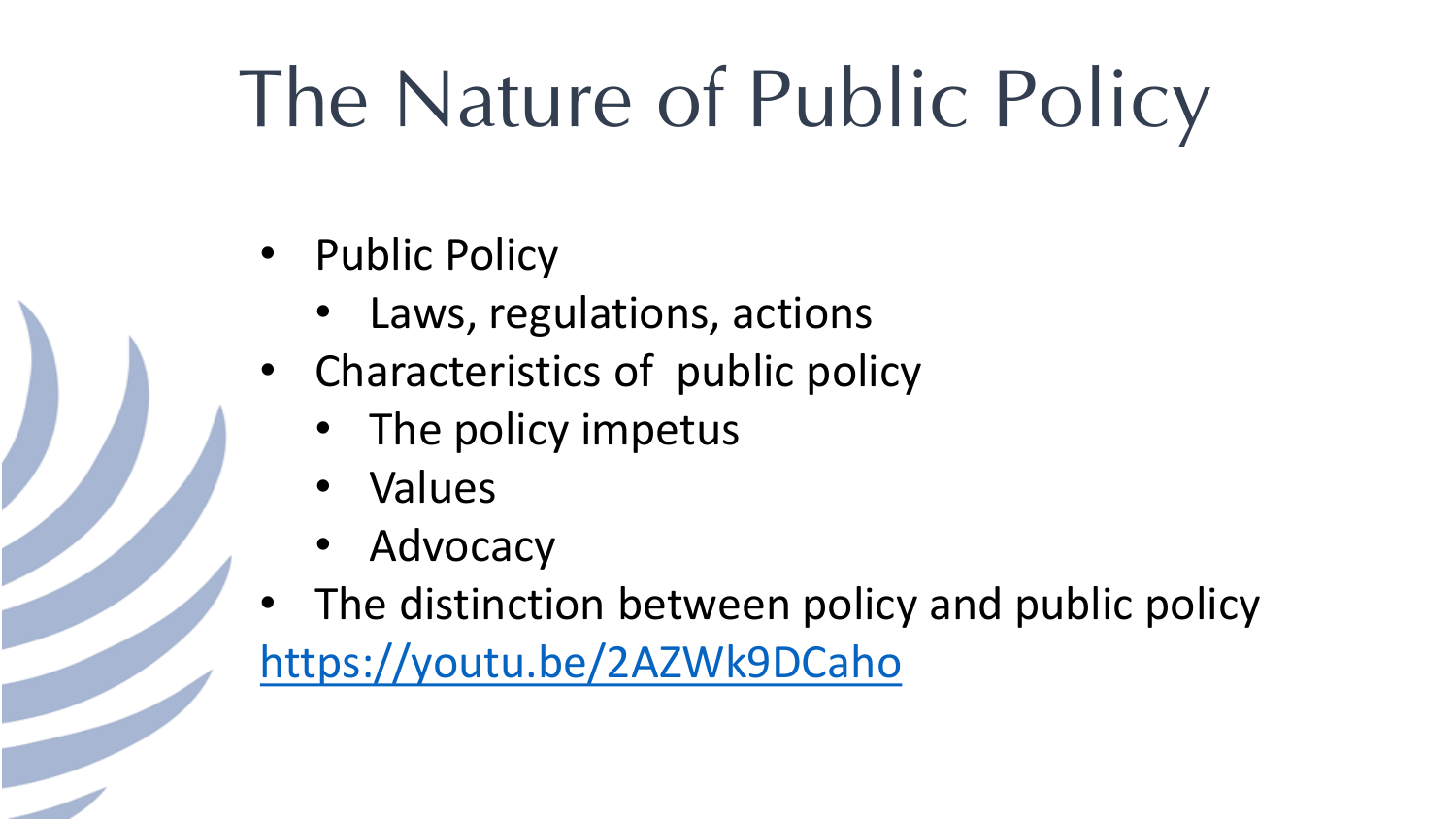### The Nature of Public Policy

- Public Policy
	- Laws, regulations, actions
- Characteristics of public policy
	- The policy impetus
	- Values
	- Advocacy
- The distinction between policy and public policy <https://youtu.be/2AZWk9DCaho>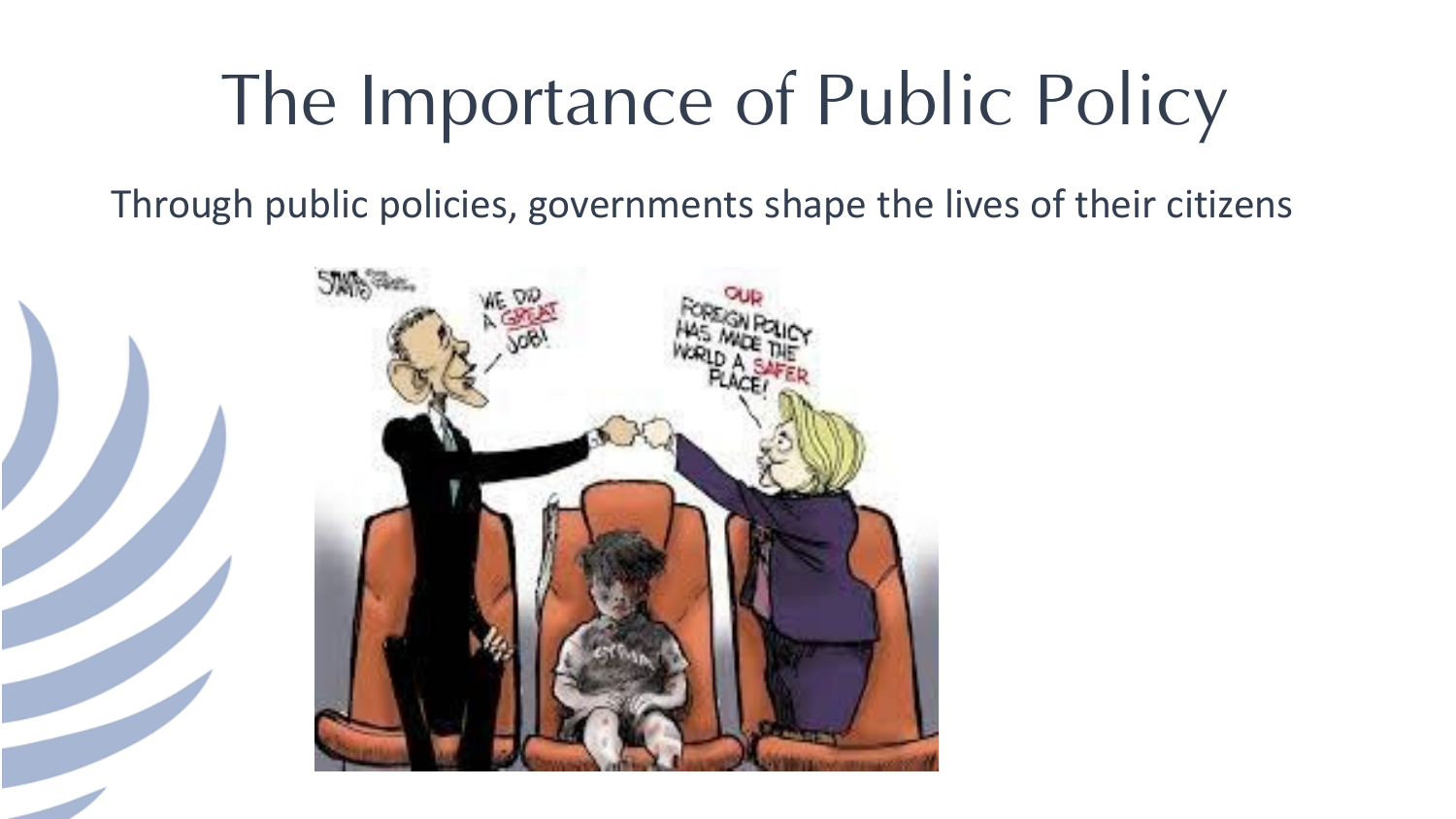### The Importance of Public Policy

Through public policies, governments shape the lives of their citizens

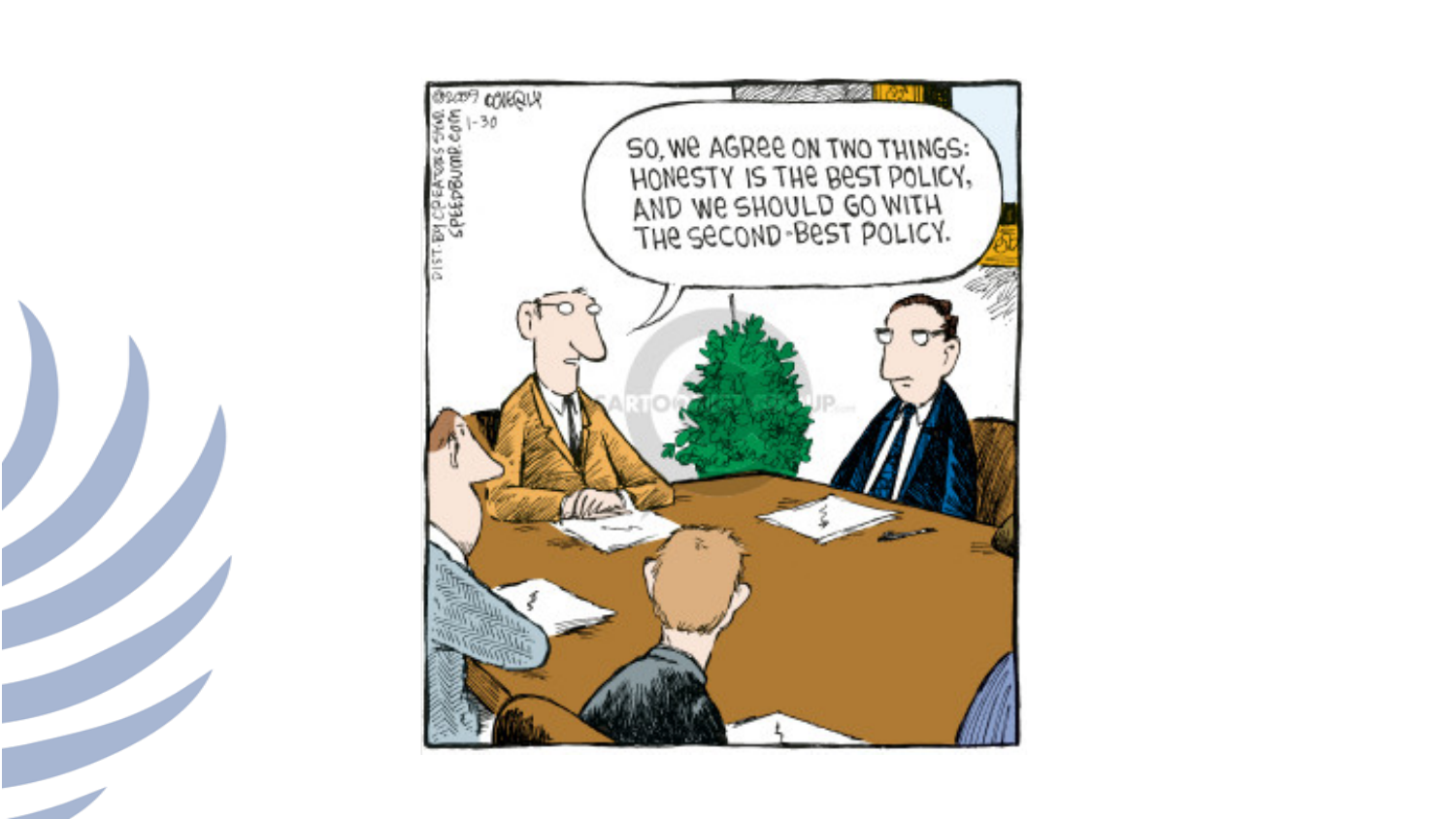

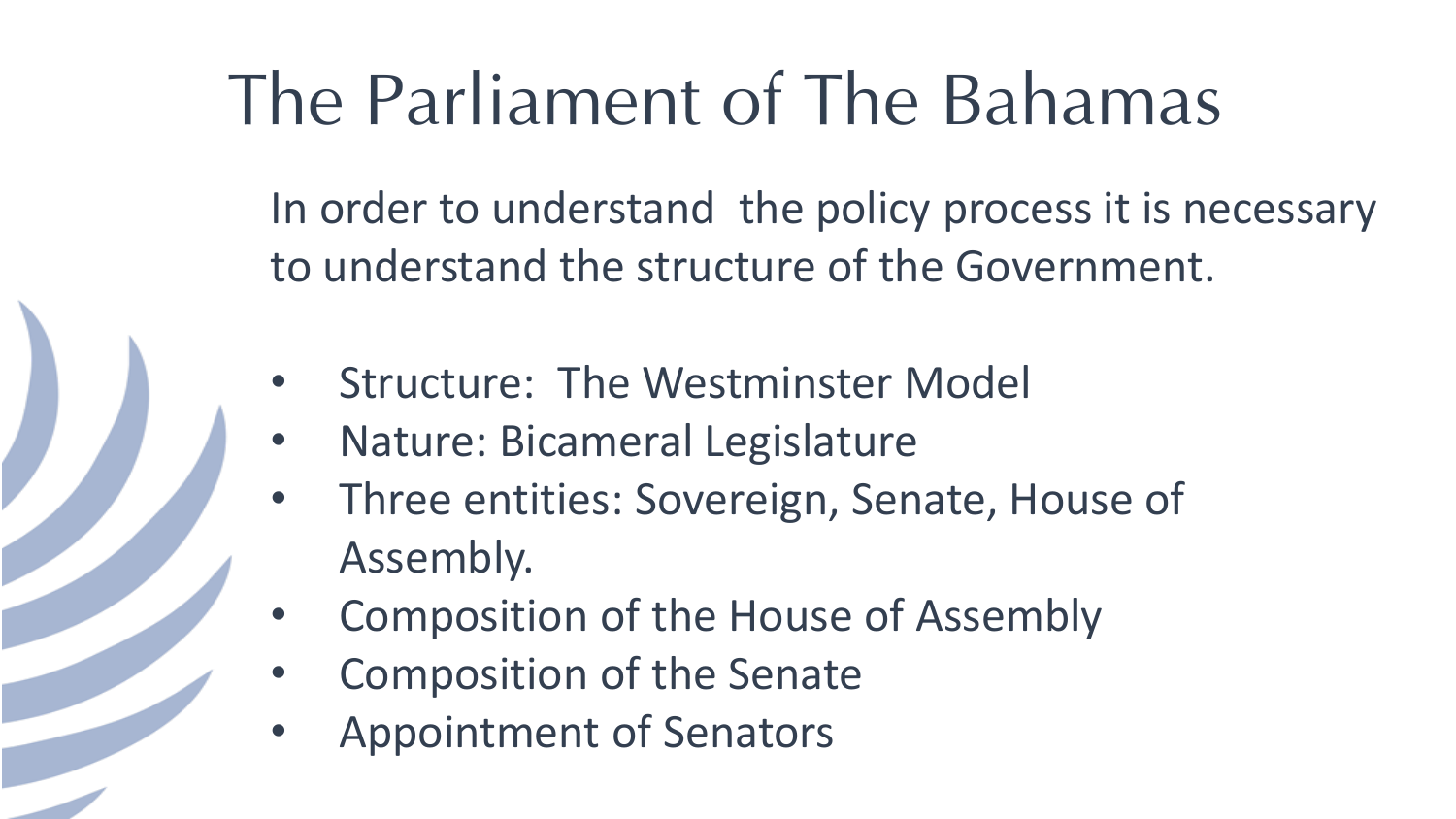#### The Parliament of The Bahamas

In order to understand the policy process it is necessary to understand the structure of the Government.

- Structure: The Westminster Model
- Nature: Bicameral Legislature
- Three entities: Sovereign, Senate, House of Assembly.
- Composition of the House of Assembly
- Composition of the Senate
- Appointment of Senators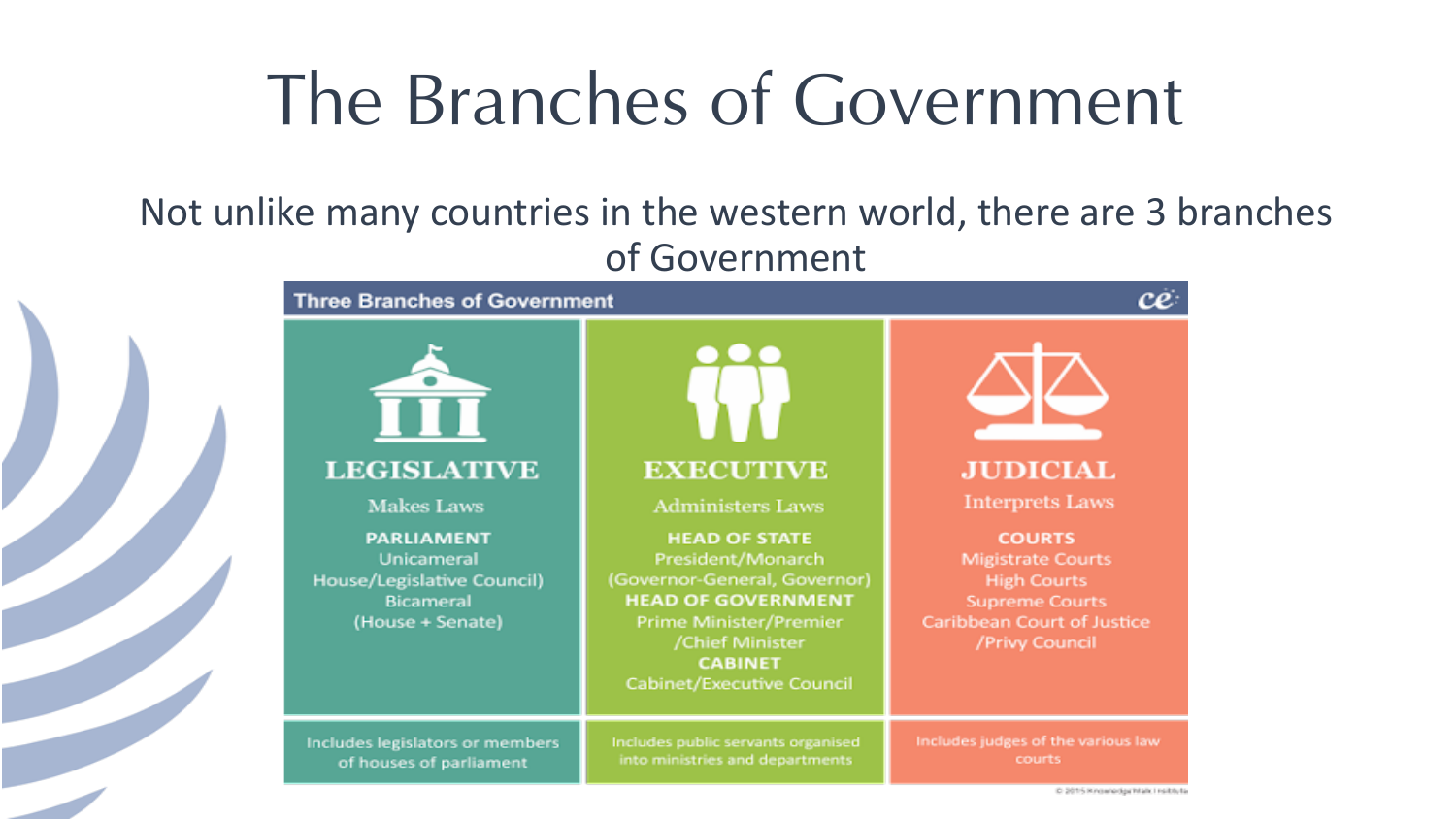#### The Branches of Government

#### Not unlike many countries in the western world, there are 3 branches of Government

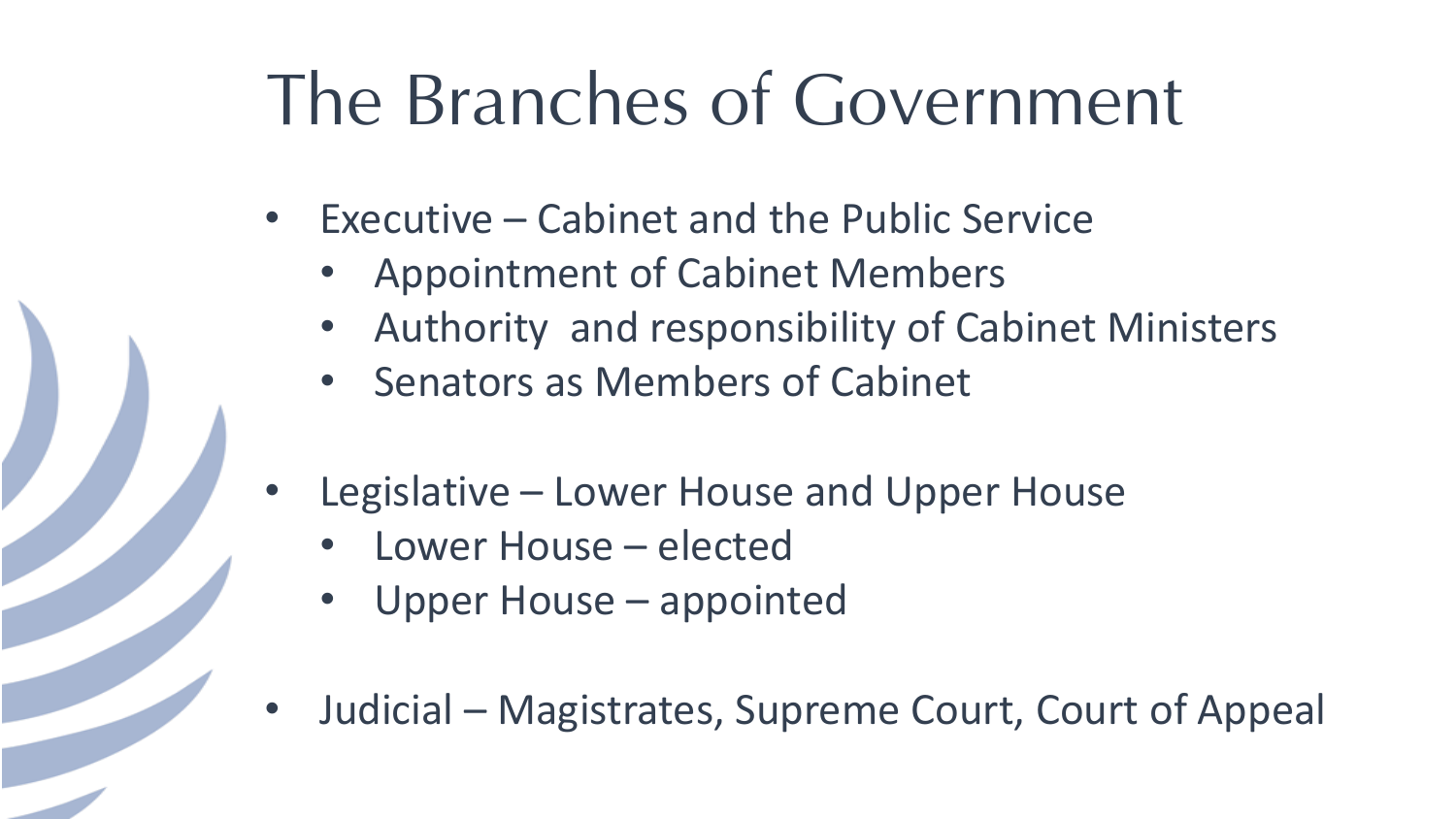#### The Branches of Government

- Executive Cabinet and the Public Service
	- Appointment of Cabinet Members
	- Authority and responsibility of Cabinet Ministers
	- Senators as Members of Cabinet
- Legislative Lower House and Upper House
	- Lower House elected
	- Upper House appointed
- Judicial Magistrates, Supreme Court, Court of Appeal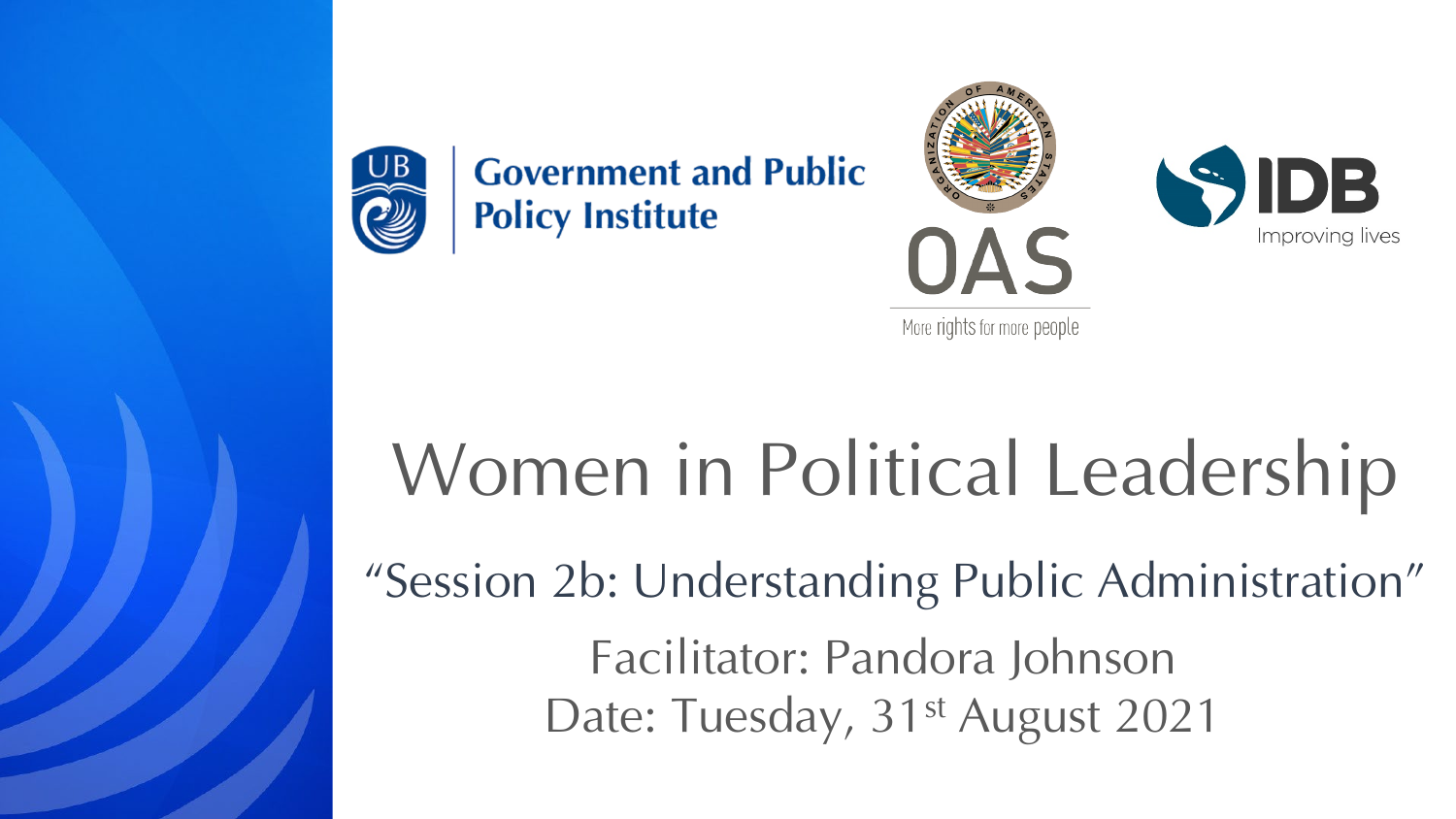

**Government and Public Policy Institute** 





# Women in Political Leadership

"Session 2b: Understanding Public Administration" Facilitator: Pandora Johnson Date: Tuesday, 31<sup>st</sup> August 2021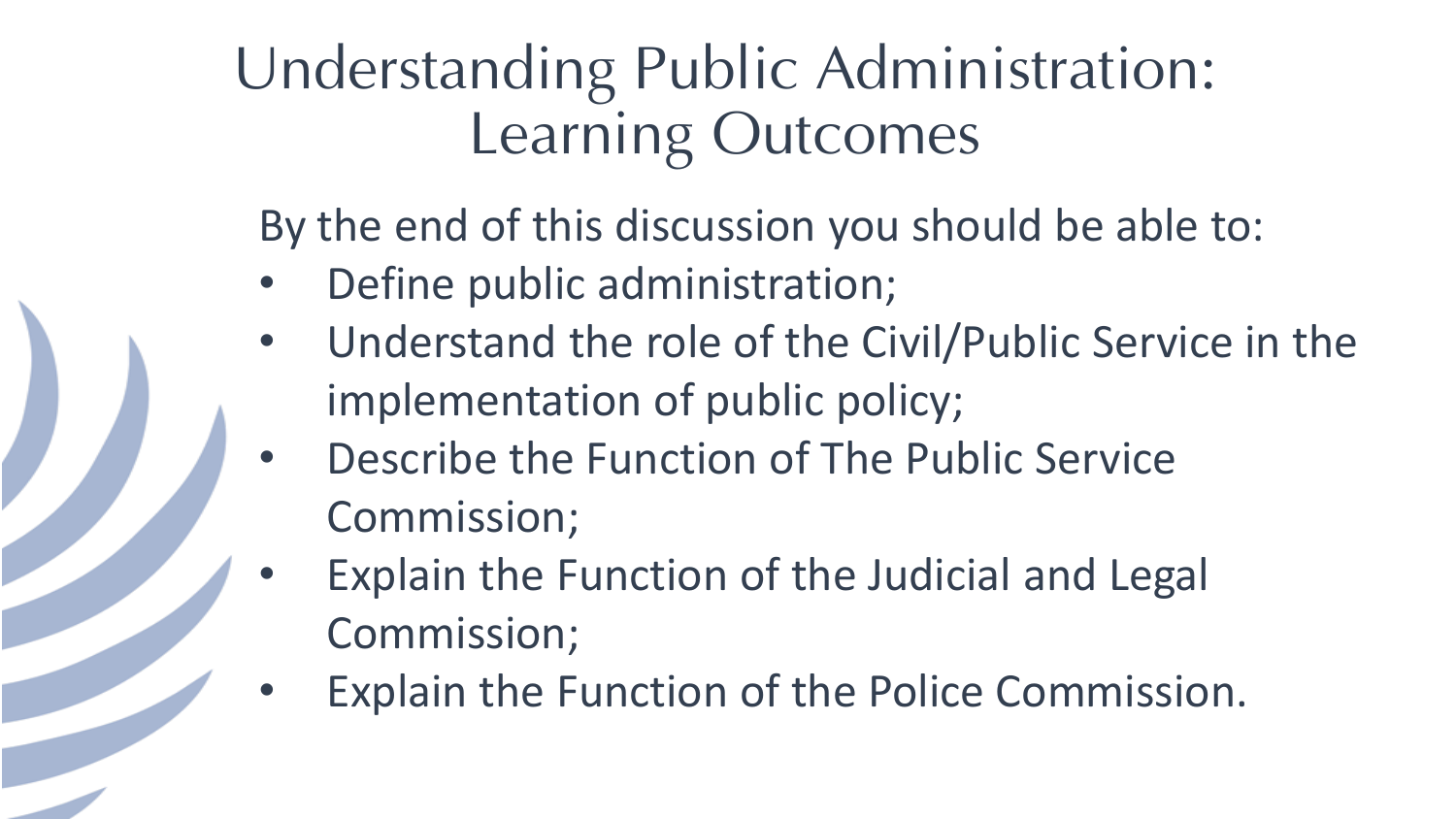#### Understanding Public Administration: Learning Outcomes

By the end of this discussion you should be able to:

- Define public administration;
- Understand the role of the Civil/Public Service in the implementation of public policy;
- Describe the Function of The Public Service Commission;
- Explain the Function of the Judicial and Legal Commission;
- Explain the Function of the Police Commission.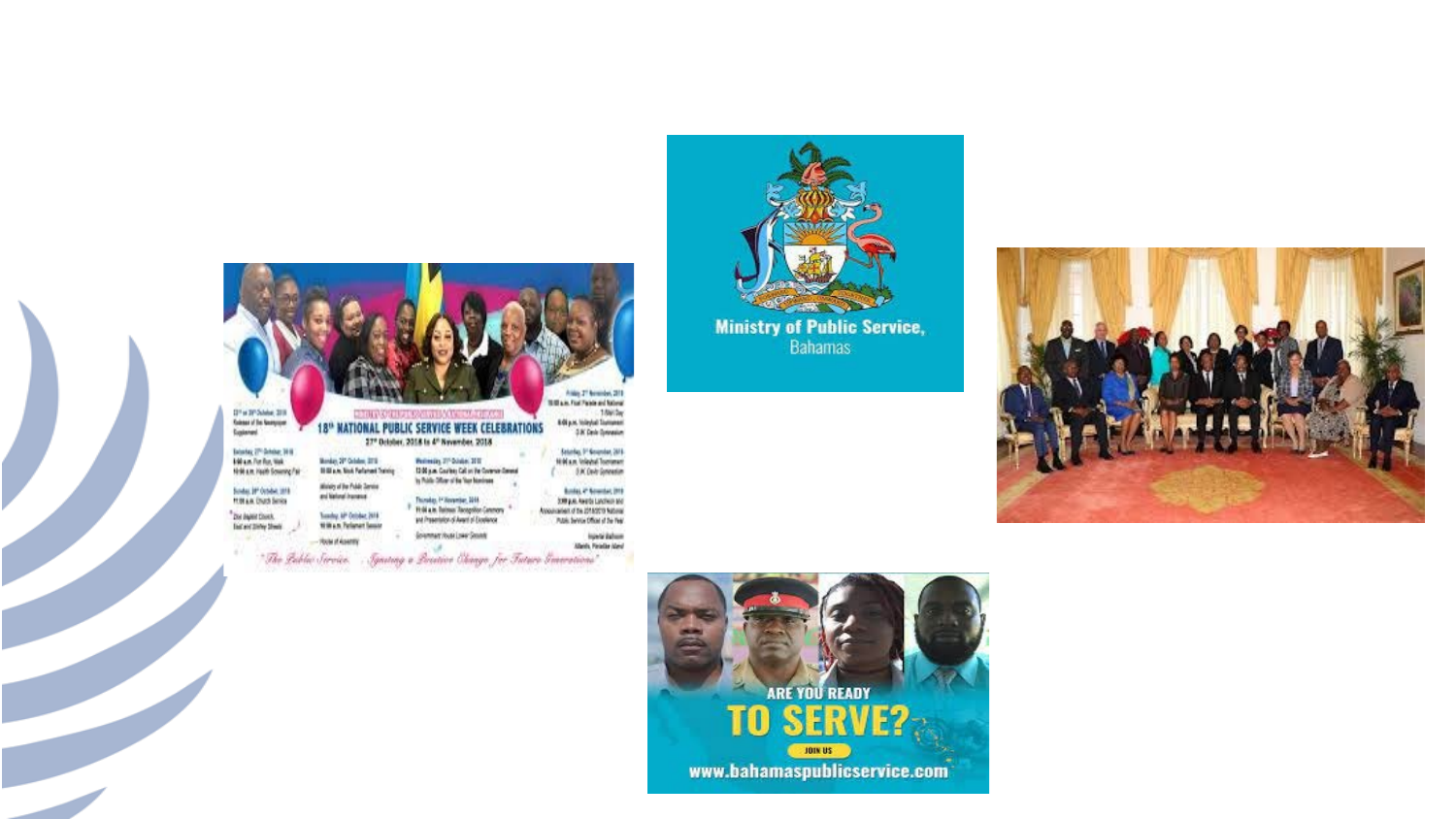





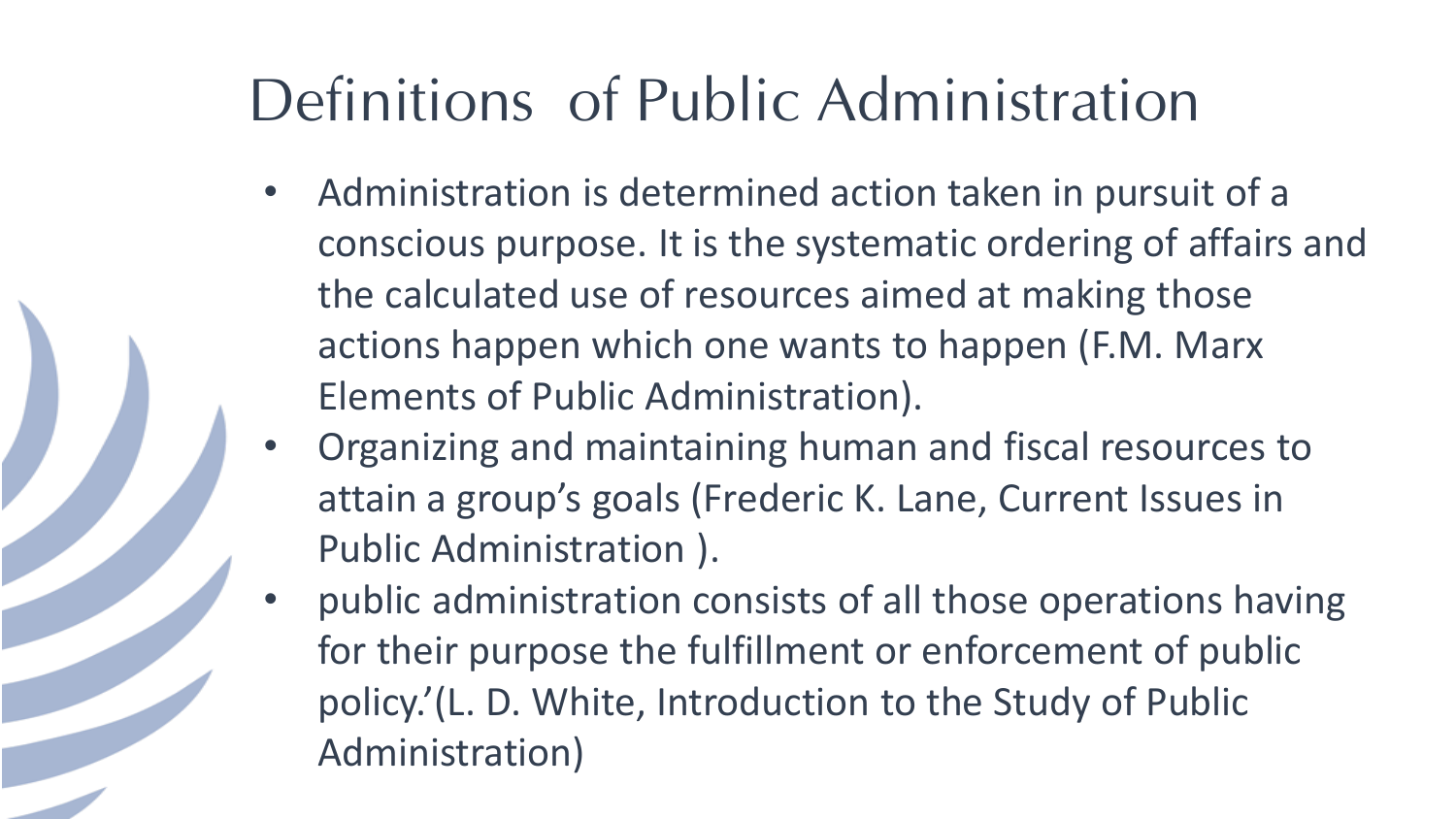#### Definitions of Public Administration

- Administration is determined action taken in pursuit of a conscious purpose. It is the systematic ordering of affairs and the calculated use of resources aimed at making those actions happen which one wants to happen (F.M. Marx Elements of Public Administration).
- Organizing and maintaining human and fiscal resources to attain a group's goals (Frederic K. Lane, Current Issues in Public Administration ).
- public administration consists of all those operations having for their purpose the fulfillment or enforcement of public policy.'(L. D. White, Introduction to the Study of Public Administration)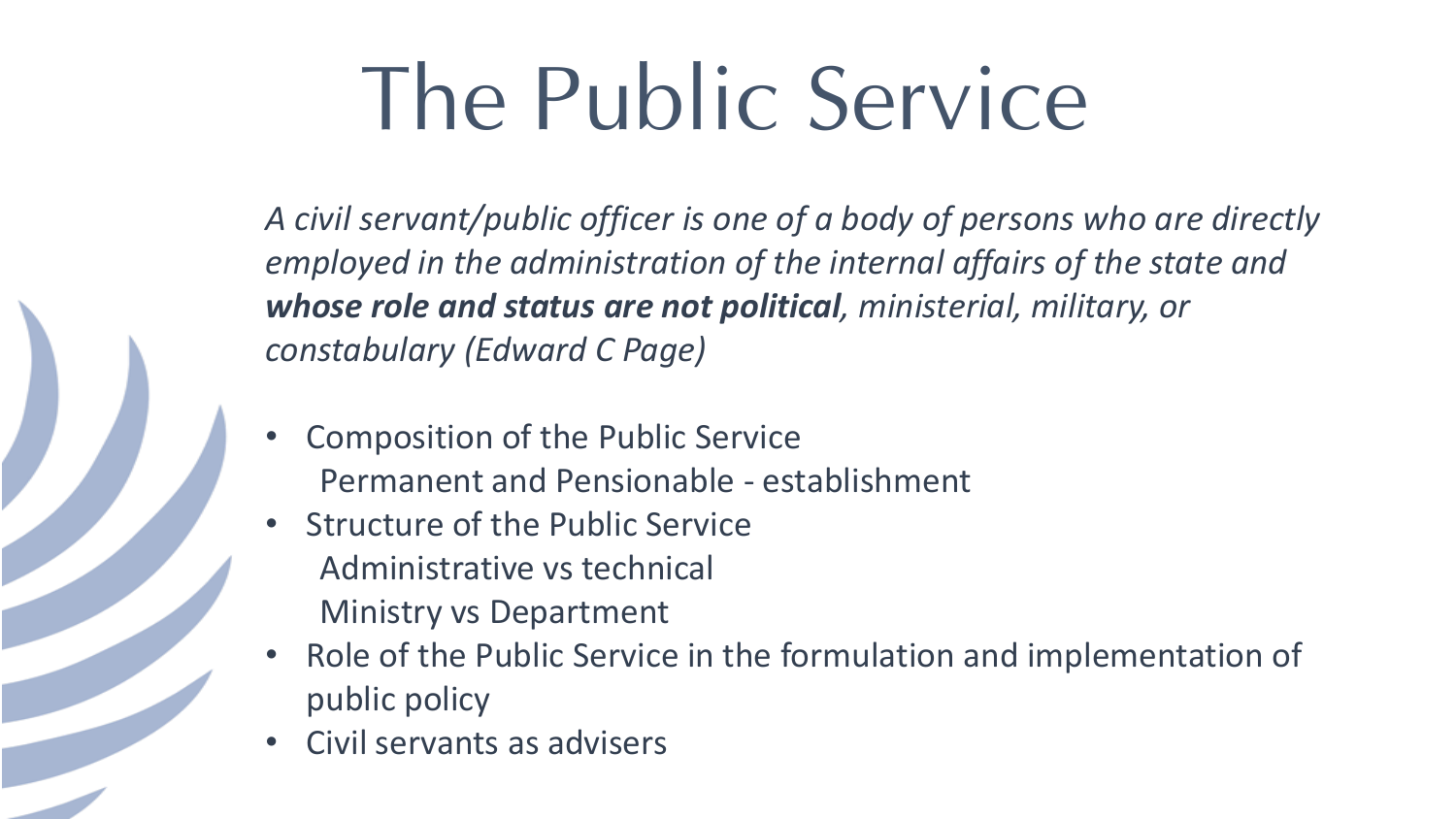### The Public Service

*A civil servant/public officer is one of a body of persons who are directly employed in the administration of the internal affairs of the state and whose role and status are not political, ministerial, military, or constabulary (Edward C Page)*

- Composition of the Public Service Permanent and Pensionable - establishment
- Structure of the Public Service Administrative vs technical Ministry vs Department
- Role of the Public Service in the formulation and implementation of public policy
- Civil servants as advisers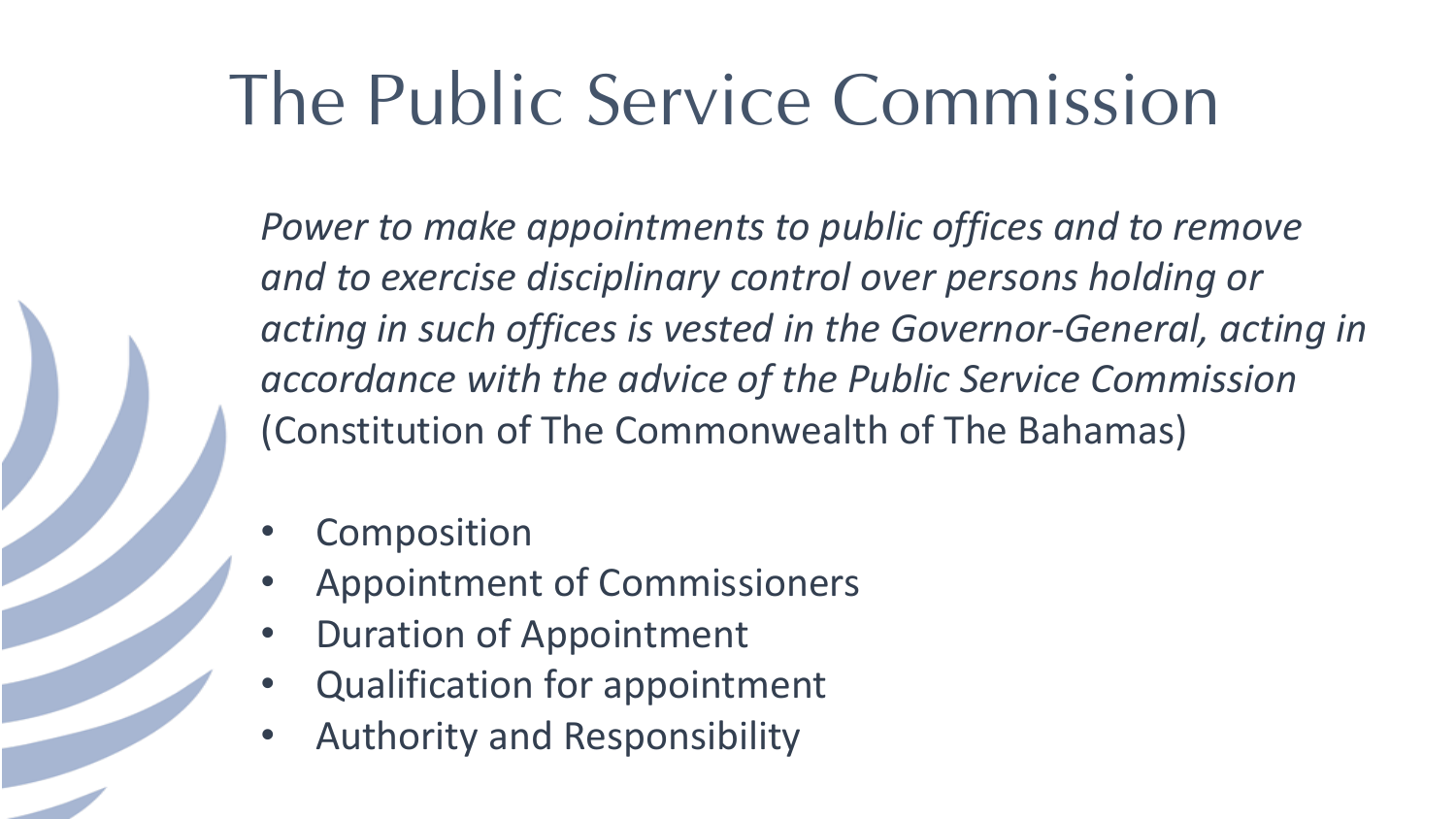#### The Public Service Commission

*Power to make appointments to public offices and to remove and to exercise disciplinary control over persons holding or acting in such offices is vested in the Governor-General, acting in accordance with the advice of the Public Service Commission*  (Constitution of The Commonwealth of The Bahamas)

- **Composition**
- Appointment of Commissioners
- Duration of Appointment
- Qualification for appointment
- Authority and Responsibility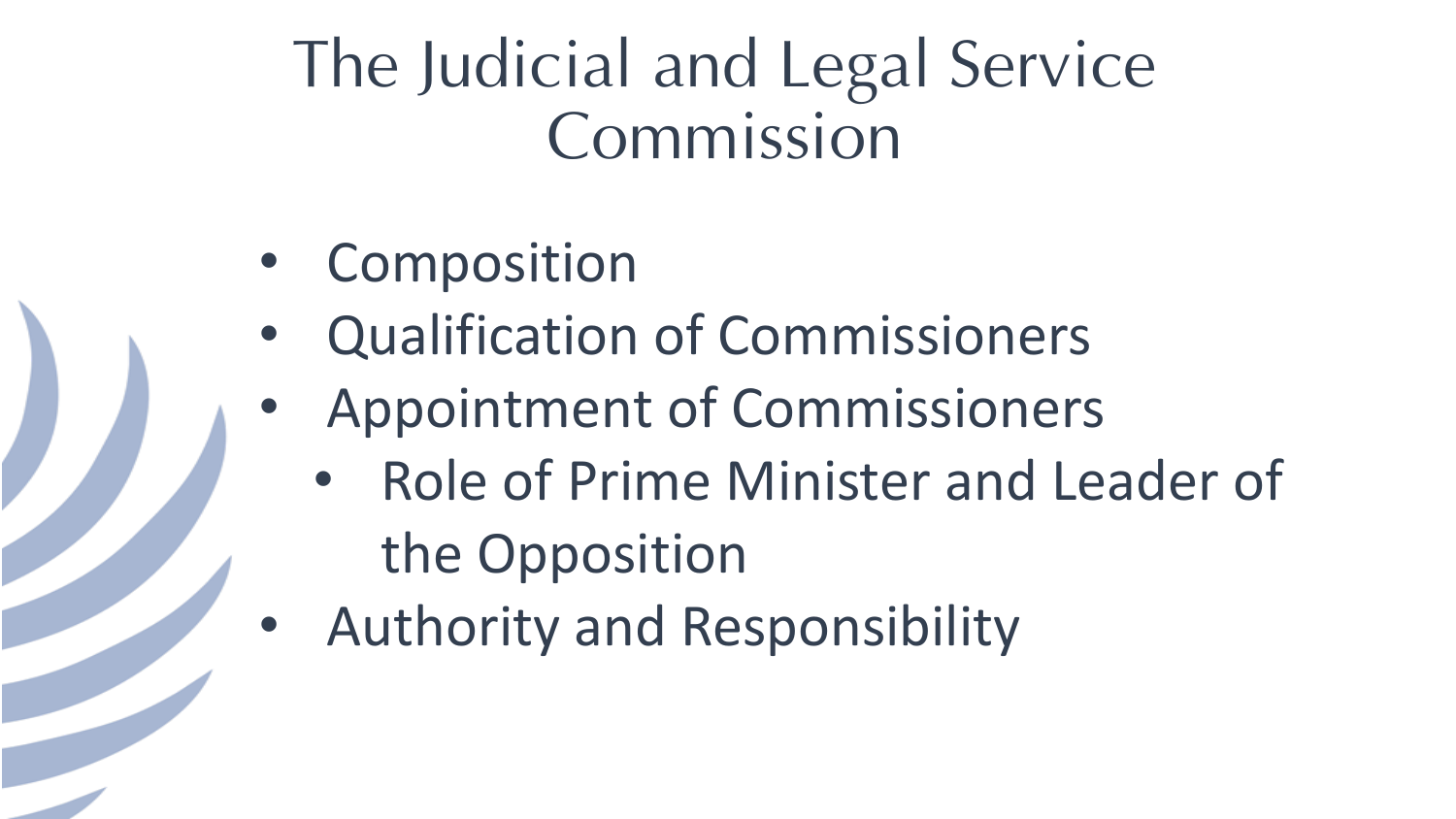The Judicial and Legal Service Commission

- Composition
- Qualification of Commissioners
- Appointment of Commissioners
	- Role of Prime Minister and Leader of the Opposition
- Authority and Responsibility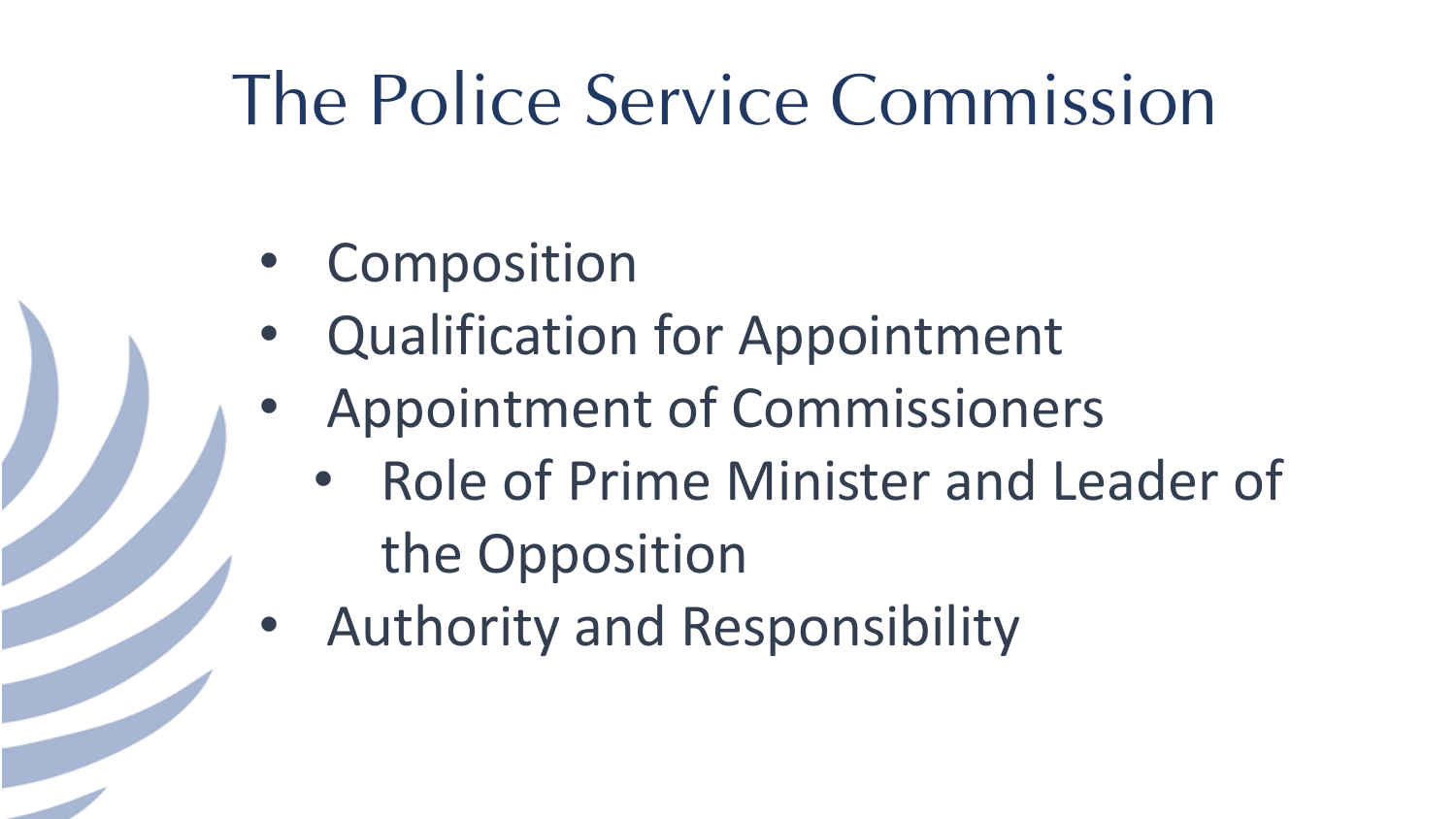#### The Police Service Commission

- Composition
- Qualification for Appointment
- Appointment of Commissioners
	- Role of Prime Minister and Leader of the Opposition
- Authority and Responsibility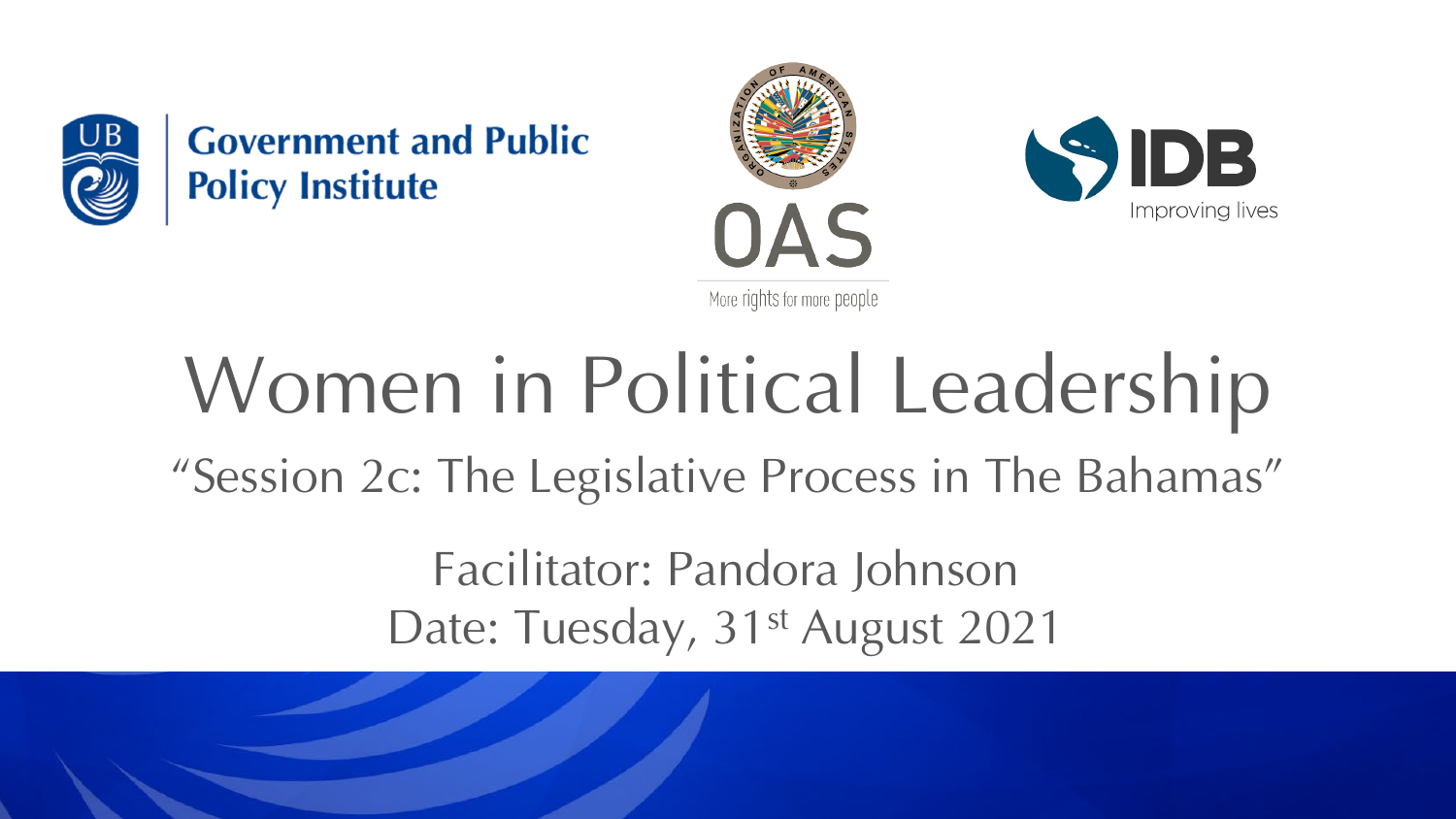

**Government and Public Policy Institute** 





More rights for more people

## Women in Political Leadership

"Session 2c: The Legislative Process in The Bahamas"

Facilitator: Pandora Johnson Date: Tuesday, 31<sup>st</sup> August 2021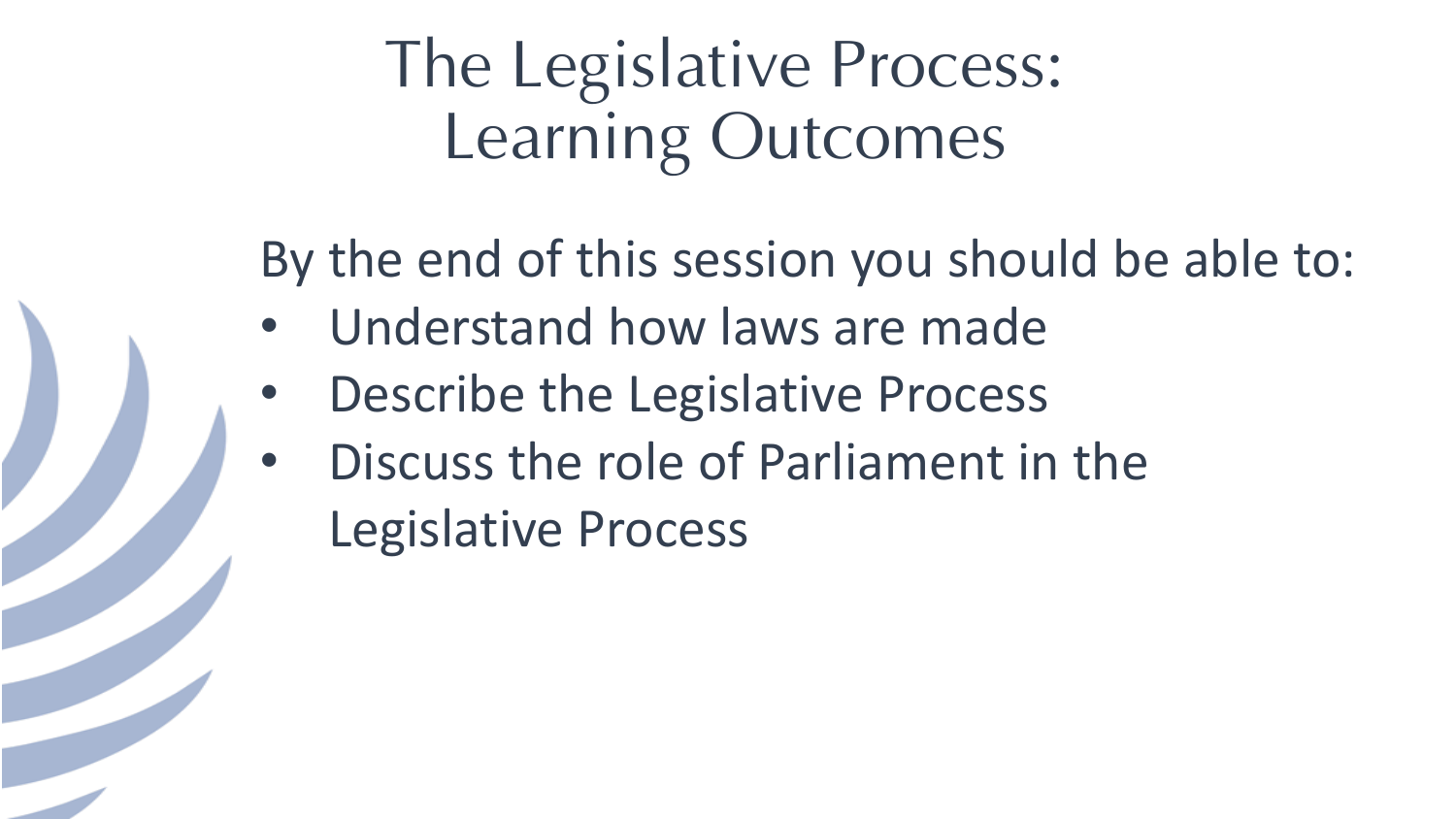The Legislative Process: Learning Outcomes

By the end of this session you should be able to:

- Understand how laws are made
- Describe the Legislative Process
- Discuss the role of Parliament in the Legislative Process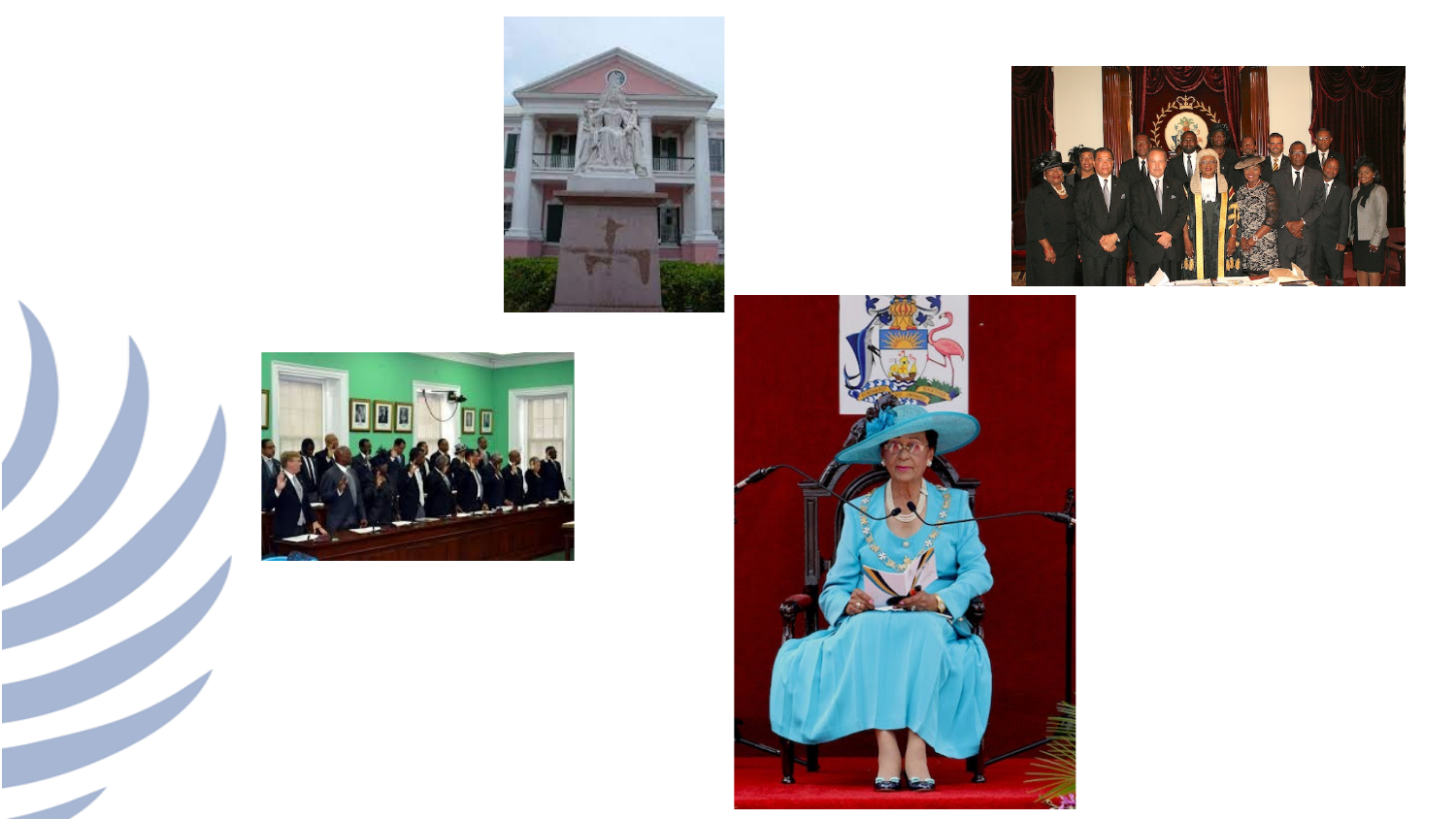





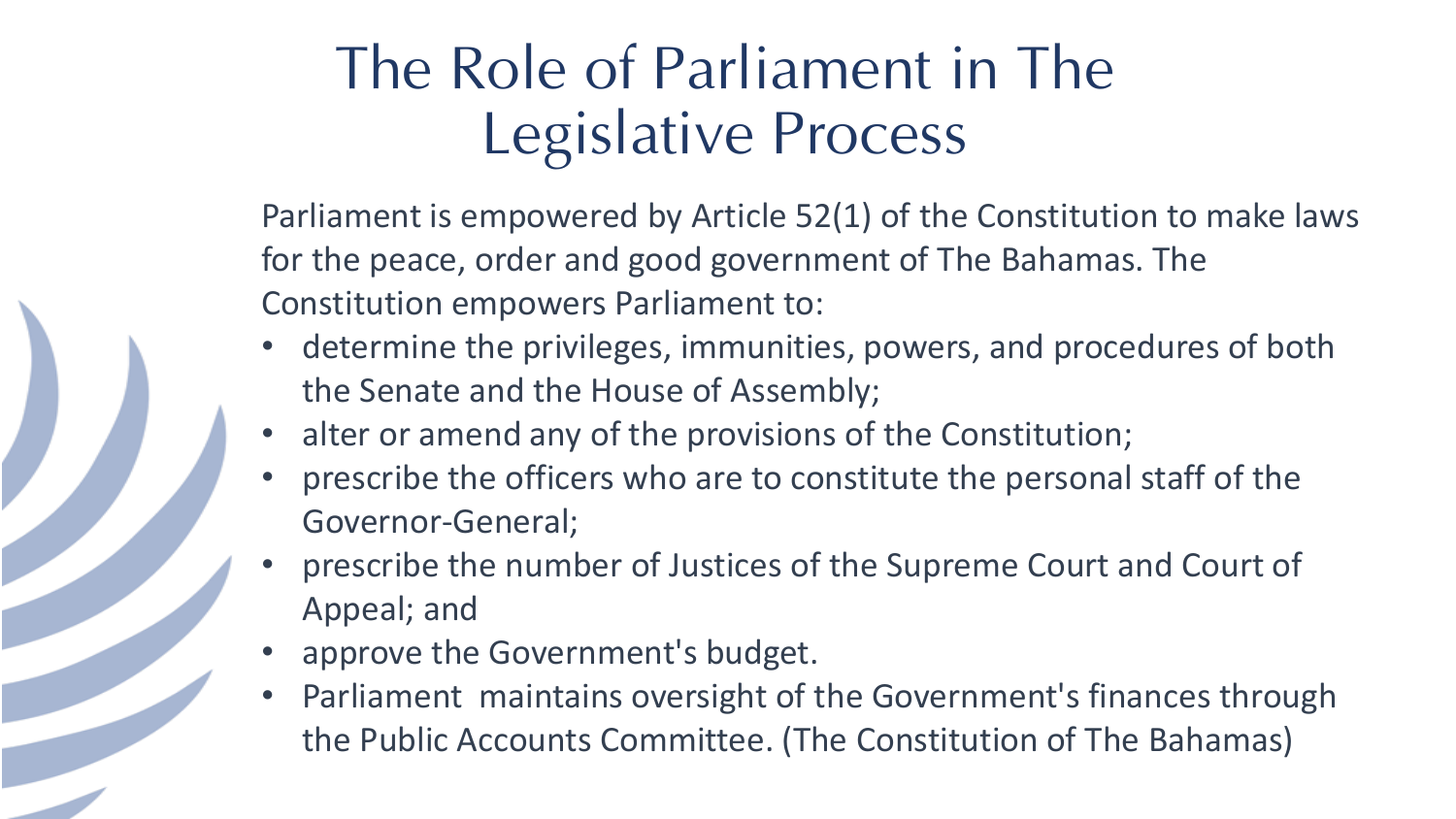#### The Role of Parliament in The Legislative Process

Parliament is empowered by Article 52(1) of the Constitution to make laws for the peace, order and good government of The Bahamas. The Constitution empowers Parliament to:

- determine the privileges, immunities, powers, and procedures of both the Senate and the House of Assembly;
- alter or amend any of the provisions of the Constitution;
- prescribe the officers who are to constitute the personal staff of the Governor-General;
- prescribe the number of Justices of the Supreme Court and Court of Appeal; and
- approve the Government's budget.
- Parliament maintains oversight of the Government's finances through the Public Accounts Committee. (The Constitution of The Bahamas)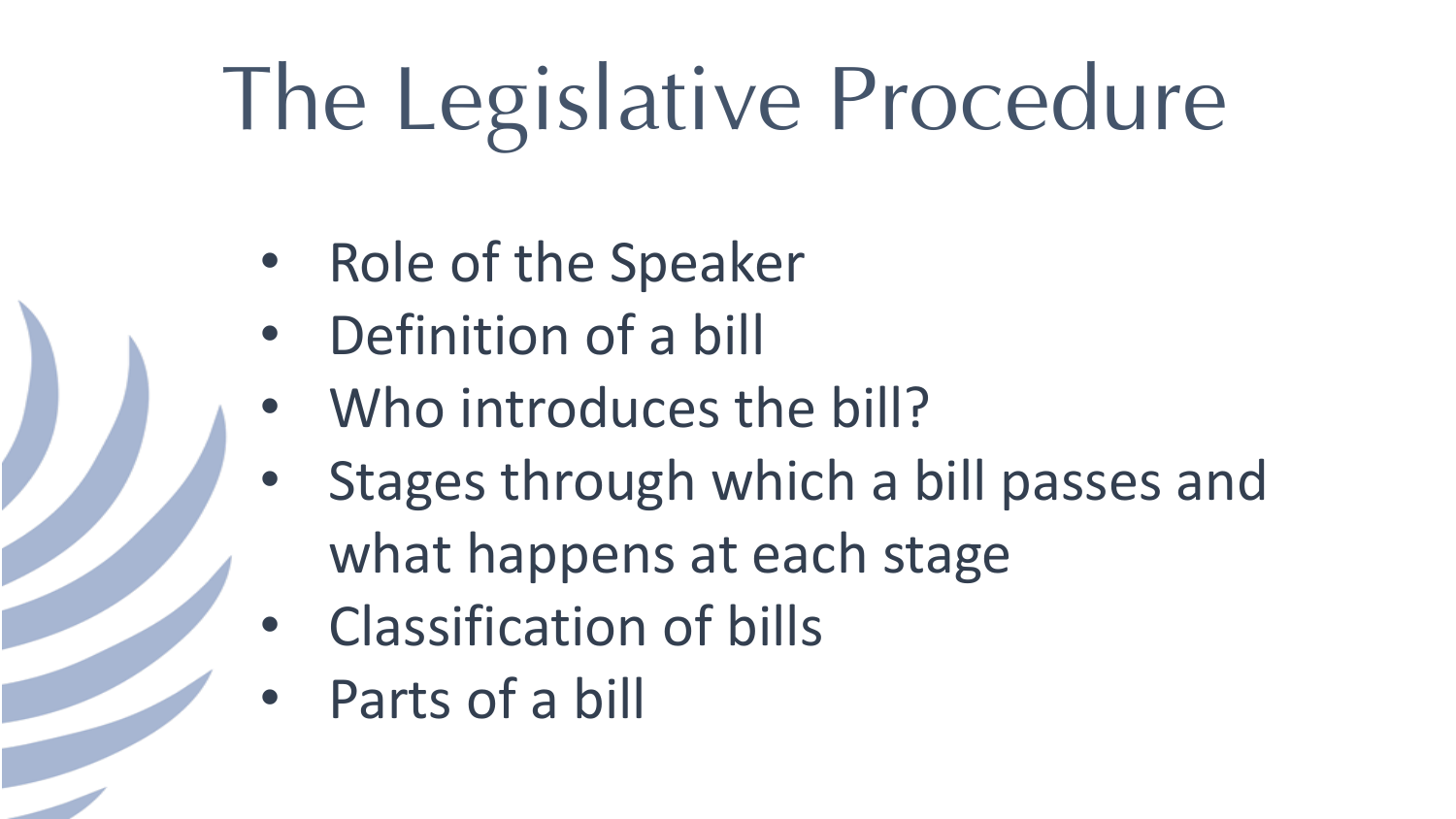## The Legislative Procedure

- Role of the Speaker
- Definition of a bill
- Who introduces the bill?
- Stages through which a bill passes and what happens at each stage
- Classification of bills
- Parts of a bill